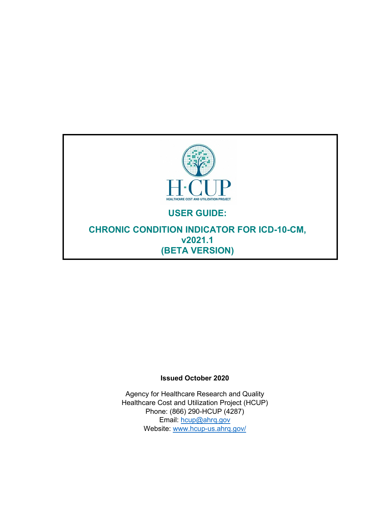

#### **Issued October 2020**

Agency for Healthcare Research and Quality Healthcare Cost and Utilization Project (HCUP) Phone: (866) 290-HCUP (4287) Email: [hcup@ahrq.gov](mailto:hcup@ahrq.gov) Website: [www.hcup-us.ahrq.gov/](http://www.hcup-us.ahrq.gov/)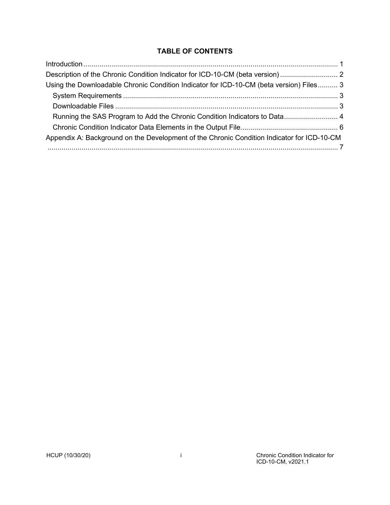# **TABLE OF CONTENTS**

| Description of the Chronic Condition Indicator for ICD-10-CM (beta version)                |  |
|--------------------------------------------------------------------------------------------|--|
| Using the Downloadable Chronic Condition Indicator for ICD-10-CM (beta version) Files 3    |  |
|                                                                                            |  |
|                                                                                            |  |
| Running the SAS Program to Add the Chronic Condition Indicators to Data 4                  |  |
|                                                                                            |  |
| Appendix A: Background on the Development of the Chronic Condition Indicator for ICD-10-CM |  |
|                                                                                            |  |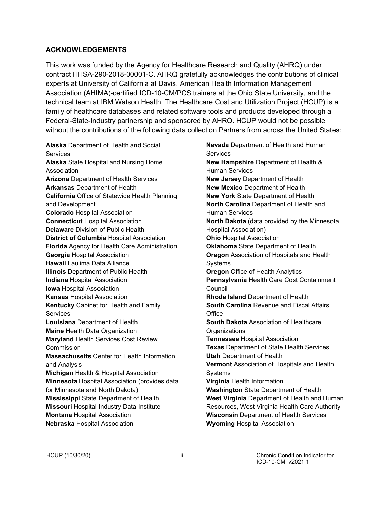#### **ACKNOWLEDGEMENTS**

This work was funded by the Agency for Healthcare Research and Quality (AHRQ) under contract HHSA-290-2018-00001-C. AHRQ gratefully acknowledges the contributions of clinical experts at University of California at Davis, American Health Information Management Association (AHIMA)-certified ICD-10-CM/PCS trainers at the Ohio State University, and the technical team at IBM Watson Health. The Healthcare Cost and Utilization Project (HCUP) is a family of healthcare databases and related software tools and products developed through a Federal-State-Industry partnership and sponsored by AHRQ. HCUP would not be possible without the contributions of the following data collection Partners from across the United States:

**Alaska** Department of Health and Social **Services Alaska** State Hospital and Nursing Home Association **Arizona** Department of Health Services **Arkansas** Department of Health **California** Office of Statewide Health Planning and Development **Colorado** Hospital Association **Connecticut** Hospital Association **Delaware** Division of Public Health **District of Columbia** Hospital Association **Florida** Agency for Health Care Administration **Georgia** Hospital Association **Hawaii** Laulima Data Alliance **Illinois** Department of Public Health **Indiana** Hospital Association **Iowa** Hospital Association **Kansas** Hospital Association **Kentucky** Cabinet for Health and Family **Services Louisiana** Department of Health **Maine** Health Data Organization **Maryland** Health Services Cost Review Commission **Massachusetts** Center for Health Information and Analysis **Michigan** Health & Hospital Association **Minnesota** Hospital Association (provides data for Minnesota and North Dakota) **Mississippi** State Department of Health **Missouri** Hospital Industry Data Institute **Montana** Hospital Association **Nebraska** Hospital Association

**Nevada** Department of Health and Human **Services New Hampshire** Department of Health & Human Services **New Jersey** Department of Health **New Mexico** Department of Health **New York** State Department of Health **North Carolina** Department of Health and Human Services **North Dakota** (data provided by the Minnesota Hospital Association) **Ohio** Hospital Association **Oklahoma** State Department of Health **Oregon** Association of Hospitals and Health Systems **Oregon** Office of Health Analytics **Pennsylvania** Health Care Cost Containment Council **Rhode Island** Department of Health **South Carolina** Revenue and Fiscal Affairs Office **South Dakota** Association of Healthcare **Organizations Tennessee** Hospital Association **Texas** Department of State Health Services **Utah** Department of Health **Vermont** Association of Hospitals and Health **Systems Virginia** Health Information **Washington** State Department of Health **West Virginia** Department of Health and Human Resources, West Virginia Health Care Authority **Wisconsin** Department of Health Services **Wyoming** Hospital Association

HCUP (10/30/20) ii Chronic Condition Indicator for ICD-10-CM, v2021.1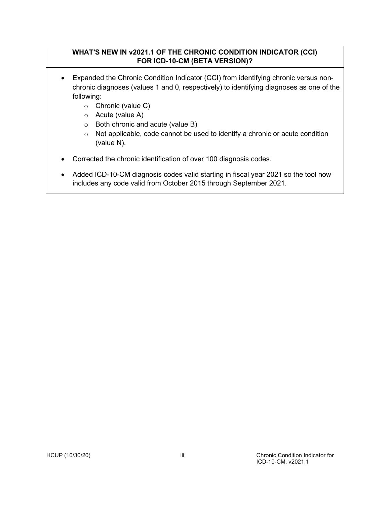## **WHAT'S NEW IN v2021.1 OF THE CHRONIC CONDITION INDICATOR (CCI) FOR ICD-10-CM (BETA VERSION)?**

- Expanded the Chronic Condition Indicator (CCI) from identifying chronic versus nonchronic diagnoses (values 1 and 0, respectively) to identifying diagnoses as one of the following:
	- o Chronic (value C)
	- o Acute (value A)
	- $\circ$  Both chronic and acute (value B)
	- o Not applicable, code cannot be used to identify a chronic or acute condition (value N).
- Corrected the chronic identification of over 100 diagnosis codes.
- Added ICD-10-CM diagnosis codes valid starting in fiscal year 2021 so the tool now includes any code valid from October 2015 through September 2021.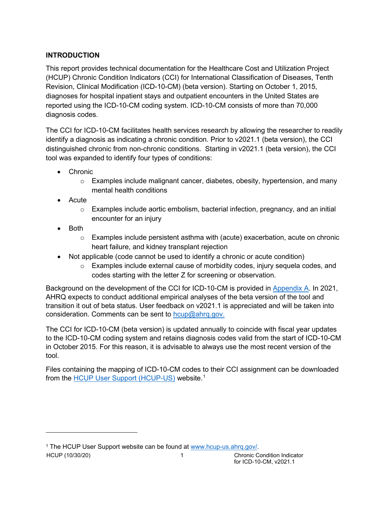# <span id="page-4-0"></span>**INTRODUCTION**

This report provides technical documentation for the Healthcare Cost and Utilization Project (HCUP) Chronic Condition Indicators (CCI) for International Classification of Diseases, Tenth Revision, Clinical Modification (ICD-10-CM) (beta version). Starting on October 1, 2015, diagnoses for hospital inpatient stays and outpatient encounters in the United States are reported using the ICD-10-CM coding system. ICD-10-CM consists of more than 70,000 diagnosis codes.

The CCI for ICD-10-CM facilitates health services research by allowing the researcher to readily identify a diagnosis as indicating a chronic condition. Prior to v2021.1 (beta version), the CCI distinguished chronic from non-chronic conditions. Starting in v2021.1 (beta version), the CCI tool was expanded to identify four types of conditions:

- Chronic
	- $\circ$  Examples include malignant cancer, diabetes, obesity, hypertension, and many mental health conditions
- Acute
	- $\circ$  Examples include aortic embolism, bacterial infection, pregnancy, and an initial encounter for an injury
- Both
	- o Examples include persistent asthma with (acute) exacerbation, acute on chronic heart failure, and kidney transplant rejection
- Not applicable (code cannot be used to identify a chronic or acute condition)
	- $\circ$  Examples include external cause of morbidity codes, injury sequela codes, and codes starting with the letter Z for screening or observation.

Background on the development of the CCI for ICD-10-CM is provided in [Appendix A.](#page-10-0) In 2021, AHRQ expects to conduct additional empirical analyses of the beta version of the tool and transition it out of beta status. User feedback on v2021.1 is appreciated and will be taken into consideration. Comments can be sent to  $h_{\text{cup}}$ @ahrq.gov.

The CCI for ICD-10-CM (beta version) is updated annually to coincide with fiscal year updates to the ICD-10-CM coding system and retains diagnosis codes valid from the start of ICD-10-CM in October 2015. For this reason, it is advisable to always use the most recent version of the tool.

Files containing the mapping of ICD-10-CM codes to their CCI assignment can be downloaded from the [HCUP User Support \(HCUP-US\)](http://www.hcup-us.ahrq.gov/) website.<sup>[1](#page-4-1)</sup>

<span id="page-4-1"></span><sup>1</sup> The HCUP User Support website can be found at [www.hcup-us.ahrq.gov/.](http://www.hcup-us.ahrq.gov/)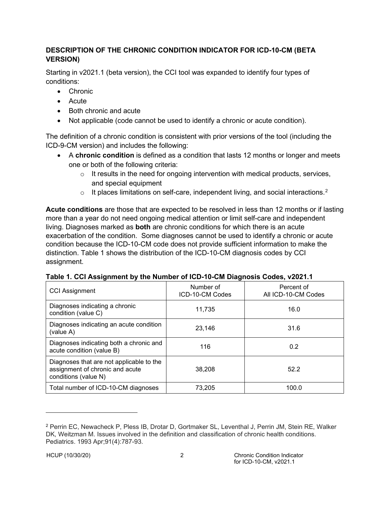## <span id="page-5-0"></span>**DESCRIPTION OF THE CHRONIC CONDITION INDICATOR FOR ICD-10-CM (BETA VERSION)**

Starting in v2021.1 (beta version), the CCI tool was expanded to identify four types of conditions:

- Chronic
- Acute
- Both chronic and acute
- Not applicable (code cannot be used to identify a chronic or acute condition).

The definition of a chronic condition is consistent with prior versions of the tool (including the ICD-9-CM version) and includes the following:

- A **chronic condition** is defined as a condition that lasts 12 months or longer and meets one or both of the following criteria:
	- $\circ$  It results in the need for ongoing intervention with medical products, services, and special equipment
	- $\circ$  It places limitations on self-care, independent living, and social interactions.<sup>[2](#page-5-1)</sup>

**Acute conditions** are those that are expected to be resolved in less than 12 months or if lasting more than a year do not need ongoing medical attention or limit self-care and independent living. Diagnoses marked as **both** are chronic conditions for which there is an acute exacerbation of the condition. Some diagnoses cannot be used to identify a chronic or acute condition because the ICD-10-CM code does not provide sufficient information to make the distinction. Table 1 shows the distribution of the ICD-10-CM diagnosis codes by CCI assignment.

| <b>CCI Assignment</b>                                                                               | Number of<br>ICD-10-CM Codes | Percent of<br>All ICD-10-CM Codes |
|-----------------------------------------------------------------------------------------------------|------------------------------|-----------------------------------|
| Diagnoses indicating a chronic<br>condition (value C)                                               | 11,735                       | 16.0                              |
| Diagnoses indicating an acute condition<br>(value A)                                                | 23,146                       | 31.6                              |
| Diagnoses indicating both a chronic and<br>acute condition (value B)                                | 116                          | 0.2                               |
| Diagnoses that are not applicable to the<br>assignment of chronic and acute<br>conditions (value N) | 38.208                       | 52.2                              |
| Total number of ICD-10-CM diagnoses                                                                 | 73,205                       | 100.0                             |

<span id="page-5-1"></span><sup>2</sup> Perrin EC, Newacheck P, Pless IB, Drotar D, Gortmaker SL, Leventhal J, Perrin JM, Stein RE, Walker DK, Weitzman M. Issues involved in the definition and classification of chronic health conditions. Pediatrics. 1993 Apr;91(4):787-93.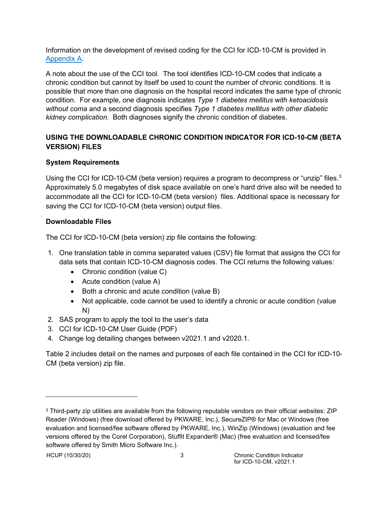Information on the development of revised coding for the CCI for ICD-10-CM is provided in [Appendix A.](#page-10-0)

A note about the use of the CCI tool. The tool identifies ICD-10-CM codes that indicate a chronic condition but cannot by itself be used to count the number of chronic conditions. It is possible that more than one diagnosis on the hospital record indicates the same type of chronic condition. For example, one diagnosis indicates *Type 1 diabetes mellitus with ketoacidosis without coma* and a second diagnosis specifies *Type 1 diabetes mellitus with other diabetic kidney complication.* Both diagnoses signify the chronic condition of diabetes.

## <span id="page-6-0"></span>**USING THE DOWNLOADABLE CHRONIC CONDITION INDICATOR FOR ICD-10-CM (BETA VERSION) FILES**

## <span id="page-6-1"></span>**System Requirements**

Using the CCI for ICD-10-CM (beta version) requires a program to decompress or "unzip" files.<sup>[3](#page-6-3)</sup> Approximately 5.0 megabytes of disk space available on one's hard drive also will be needed to accommodate all the CCI for ICD-10-CM (beta version) files. Additional space is necessary for saving the CCI for ICD-10-CM (beta version) output files.

#### <span id="page-6-2"></span>**Downloadable Files**

The CCI for ICD-10-CM (beta version) zip file contains the following:

- 1. One translation table in comma separated values (CSV) file format that assigns the CCI for data sets that contain ICD-10-CM diagnosis codes. The CCI returns the following values:
	- Chronic condition (value C)
	- Acute condition (value A)
	- Both a chronic and acute condition (value B)
	- Not applicable, code cannot be used to identify a chronic or acute condition (value N)
- 2. SAS program to apply the tool to the user's data
- 3. CCI for ICD-10-CM User Guide (PDF)
- 4. Change log detailing changes between v2021.1 and v2020.1.

Table 2 includes detail on the names and purposes of each file contained in the CCI for ICD-10- CM (beta version) zip file.

<span id="page-6-3"></span><sup>3</sup> Third-party zip utilities are available from the following reputable vendors on their official websites: ZIP Reader (Windows) (free download offered by PKWARE, Inc.), SecureZIP® for Mac or Windows (free evaluation and licensed/fee software offered by PKWARE, Inc.), WinZip (Windows) (evaluation and fee versions offered by the Corel Corporation), Stuffit Expander® (Mac) (free evaluation and licensed/fee software offered by Smith Micro Software Inc.).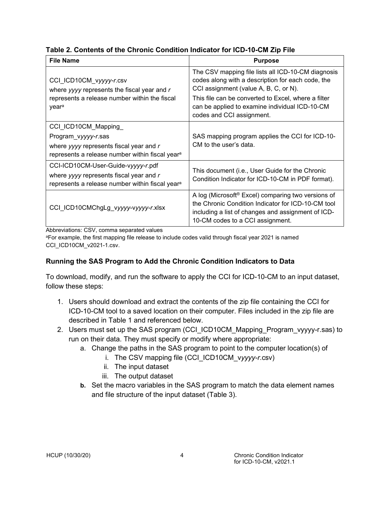|  |  |  |  |  | Table 2. Contents of the Chronic Condition Indicator for ICD-10-CM Zip File |
|--|--|--|--|--|-----------------------------------------------------------------------------|
|--|--|--|--|--|-----------------------------------------------------------------------------|

| <b>File Name</b>                                                                                                                                     | <b>Purpose</b>                                                                                                                                                                                                                                                                         |
|------------------------------------------------------------------------------------------------------------------------------------------------------|----------------------------------------------------------------------------------------------------------------------------------------------------------------------------------------------------------------------------------------------------------------------------------------|
| CCI_ICD10CM_vyyyy-r.csv<br>where yyyy represents the fiscal year and $r$<br>represents a release number within the fiscal<br>year <sup>a</sup>       | The CSV mapping file lists all ICD-10-CM diagnosis<br>codes along with a description for each code, the<br>CCI assignment (value A, B, C, or N).<br>This file can be converted to Excel, where a filter<br>can be applied to examine individual ICD-10-CM<br>codes and CCI assignment. |
| CCI_ICD10CM_Mapping<br>Program_vyyyy-r.sas<br>where yyyy represents fiscal year and r<br>represents a release number within fiscal year <sup>a</sup> | SAS mapping program applies the CCI for ICD-10-<br>CM to the user's data.                                                                                                                                                                                                              |
| CCI-ICD10CM-User-Guide-vyyyy-r.pdf<br>where yyyy represents fiscal year and r<br>represents a release number within fiscal year <sup>a</sup>         | This document (i.e., User Guide for the Chronic<br>Condition Indicator for ICD-10-CM in PDF format).                                                                                                                                                                                   |
| CCI_ICD10CMChgLg_vyyyy-vyyyy-r.xlsx                                                                                                                  | A log (Microsoft <sup>®</sup> Excel) comparing two versions of<br>the Chronic Condition Indicator for ICD-10-CM tool<br>including a list of changes and assignment of ICD-<br>10-CM codes to a CCI assignment.                                                                         |

Abbreviations: CSV, comma separated values

<sup>a</sup>For example, the first mapping file release to include codes valid through fiscal year 2021 is named CCI\_ICD10CM\_v2021-1.csv.

# <span id="page-7-0"></span>**Running the SAS Program to Add the Chronic Condition Indicators to Data**

To download, modify, and run the software to apply the CCI for ICD-10-CM to an input dataset, follow these steps:

- 1. Users should download and extract the contents of the zip file containing the CCI for ICD-10-CM tool to a saved location on their computer. Files included in the zip file are described in Table 1 and referenced below.
- 2. Users must set up the SAS program (CCI\_ICD10CM\_Mapping\_Program\_vyyyy-r.sas) to run on their data. They must specify or modify where appropriate:
	- a. Change the paths in the SAS program to point to the computer location(s) of
		- i. The CSV mapping file (CCI\_ICD10CM\_v*yyyy-r*.csv)
		- ii. The input dataset
		- iii. The output dataset
	- **b.** Set the macro variables in the SAS program to match the data element names and file structure of the input dataset (Table 3).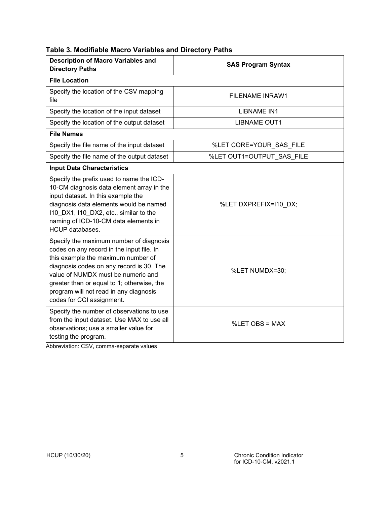|  | Table 3. Modifiable Macro Variables and Directory Paths |  |  |  |  |  |
|--|---------------------------------------------------------|--|--|--|--|--|
|--|---------------------------------------------------------|--|--|--|--|--|

| <b>Description of Macro Variables and</b><br><b>Directory Paths</b>                                                                                                                                                                                                                                                               | <b>SAS Program Syntax</b> |  |
|-----------------------------------------------------------------------------------------------------------------------------------------------------------------------------------------------------------------------------------------------------------------------------------------------------------------------------------|---------------------------|--|
| <b>File Location</b>                                                                                                                                                                                                                                                                                                              |                           |  |
| Specify the location of the CSV mapping<br>file                                                                                                                                                                                                                                                                                   | <b>FILENAME INRAW1</b>    |  |
| Specify the location of the input dataset                                                                                                                                                                                                                                                                                         | <b>LIBNAME IN1</b>        |  |
| Specify the location of the output dataset                                                                                                                                                                                                                                                                                        | <b>LIBNAME OUT1</b>       |  |
| <b>File Names</b>                                                                                                                                                                                                                                                                                                                 |                           |  |
| Specify the file name of the input dataset                                                                                                                                                                                                                                                                                        | %LET CORE=YOUR SAS FILE   |  |
| Specify the file name of the output dataset                                                                                                                                                                                                                                                                                       | %LET OUT1=OUTPUT_SAS_FILE |  |
| <b>Input Data Characteristics</b>                                                                                                                                                                                                                                                                                                 |                           |  |
| Specify the prefix used to name the ICD-<br>10-CM diagnosis data element array in the<br>input dataset. In this example the<br>diagnosis data elements would be named<br>110_DX1, I10_DX2, etc., similar to the<br>naming of ICD-10-CM data elements in<br><b>HCUP</b> databases.                                                 | %LET DXPREFIX=I10 DX;     |  |
| Specify the maximum number of diagnosis<br>codes on any record in the input file. In<br>this example the maximum number of<br>diagnosis codes on any record is 30. The<br>value of NUMDX must be numeric and<br>greater than or equal to 1; otherwise, the<br>program will not read in any diagnosis<br>codes for CCI assignment. | %LET NUMDX=30;            |  |
| Specify the number of observations to use<br>from the input dataset. Use MAX to use all<br>observations; use a smaller value for<br>testing the program.                                                                                                                                                                          | %LET OBS = MAX            |  |

Abbreviation: CSV, comma-separate values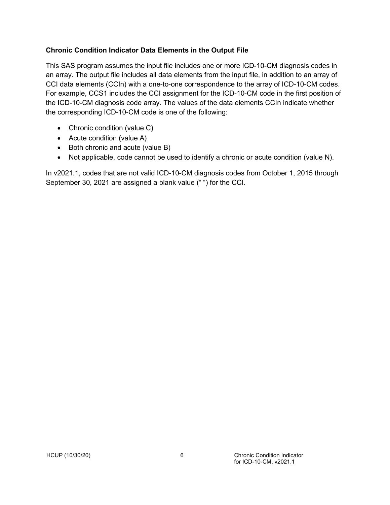#### <span id="page-9-0"></span>**Chronic Condition Indicator Data Elements in the Output File**

This SAS program assumes the input file includes one or more ICD-10-CM diagnosis codes in an array. The output file includes all data elements from the input file, in addition to an array of CCI data elements (CCIn) with a one-to-one correspondence to the array of ICD-10-CM codes. For example, CCS1 includes the CCI assignment for the ICD-10-CM code in the first position of the ICD-10-CM diagnosis code array. The values of the data elements CCIn indicate whether the corresponding ICD-10-CM code is one of the following:

- Chronic condition (value C)
- Acute condition (value A)
- Both chronic and acute (value B)
- Not applicable, code cannot be used to identify a chronic or acute condition (value N).

In v2021.1, codes that are not valid ICD-10-CM diagnosis codes from October 1, 2015 through September 30, 2021 are assigned a blank value (" ") for the CCI.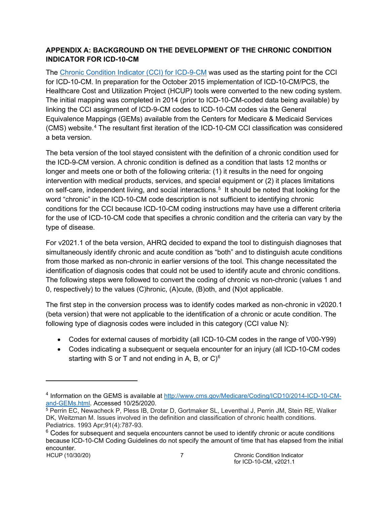## <span id="page-10-0"></span>**APPENDIX A: BACKGROUND ON THE DEVELOPMENT OF THE CHRONIC CONDITION INDICATOR FOR ICD-10-CM**

The [Chronic Condition Indicator](https://www.hcup-us.ahrq.gov/toolssoftware/chronic/chronic.jsp) (CCI) for ICD-9-CM was used as the starting point for the CCI for ICD-10-CM. In preparation for the October 2015 implementation of ICD-10-CM/PCS, the Healthcare Cost and Utilization Project (HCUP) tools were converted to the new coding system. The initial mapping was completed in 2014 (prior to ICD-10-CM-coded data being available) by linking the CCI assignment of ICD-9-CM codes to ICD-10-CM codes via the General Equivalence Mappings (GEMs) available from the Centers for Medicare & Medicaid Services (CMS) website.[4](#page-10-1) The resultant first iteration of the ICD-10-CM CCI classification was considered a beta version.

The beta version of the tool stayed consistent with the definition of a chronic condition used for the ICD-9-CM version. A chronic condition is defined as a condition that lasts 12 months or longer and meets one or both of the following criteria: (1) it results in the need for ongoing intervention with medical products, services, and special equipment or (2) it places limitations on self-care, independent living, and social interactions.[5](#page-10-2) It should be noted that looking for the word "chronic" in the ICD-10-CM code description is not sufficient to identifying chronic conditions for the CCI because ICD-10-CM coding instructions may have use a different criteria for the use of ICD-10-CM code that specifies a chronic condition and the criteria can vary by the type of disease.

For v2021.1 of the beta version, AHRQ decided to expand the tool to distinguish diagnoses that simultaneously identify chronic and acute condition as "both" and to distinguish acute conditions from those marked as non-chronic in earlier versions of the tool. This change necessitated the identification of diagnosis codes that could not be used to identify acute and chronic conditions. The following steps were followed to convert the coding of chronic vs non-chronic (values 1 and 0, respectively) to the values (C)hronic, (A)cute, (B)oth, and (N)ot applicable.

The first step in the conversion process was to identify codes marked as non-chronic in v2020.1 (beta version) that were not applicable to the identification of a chronic or acute condition. The following type of diagnosis codes were included in this category (CCI value N):

- Codes for external causes of morbidity (all ICD-10-CM codes in the range of V00-Y99)
- Codes indicating a subsequent or sequela encounter for an injury (all ICD-10-CM codes starting with S or T and not ending in A, B, or  $C$ <sup>[6](#page-10-3)</sup>

<span id="page-10-1"></span><sup>4</sup> Information on the GEMS is available at [http://www.cms.gov/Medicare/Coding/ICD10/2014-ICD-10-CM](http://www.cms.gov/Medicare/Coding/ICD10/2014-ICD-10-CM-and-GEMs.html)[and-GEMs.html.](http://www.cms.gov/Medicare/Coding/ICD10/2014-ICD-10-CM-and-GEMs.html) Accessed 10/25/2020.

<span id="page-10-2"></span><sup>5</sup> Perrin EC, Newacheck P, Pless IB, Drotar D, Gortmaker SL, Leventhal J, Perrin JM, Stein RE, Walker DK, Weitzman M. Issues involved in the definition and classification of chronic health conditions. Pediatrics. 1993 Apr;91(4):787-93.

<span id="page-10-3"></span>HCUP (10/30/20) 7 Chronic Condition Indicator  $6$  Codes for subsequent and sequela encounters cannot be used to identify chronic or acute conditions because ICD-10-CM Coding Guidelines do not specify the amount of time that has elapsed from the initial encounter.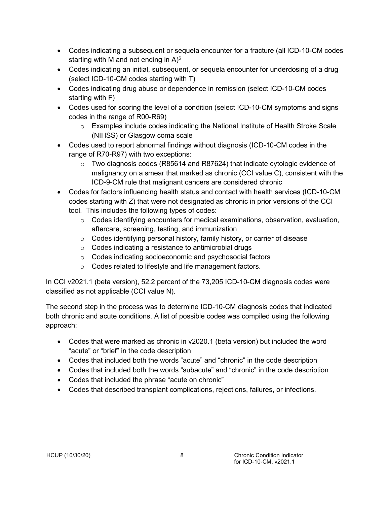- Codes indicating a subsequent or sequela encounter for a fracture (all ICD-10-CM codes starting with M and not ending in A) $^{\rm 6}$
- Codes indicating an initial, subsequent, or sequela encounter for underdosing of a drug (select ICD-10-CM codes starting with T)
- Codes indicating drug abuse or dependence in remission (select ICD-10-CM codes starting with F)
- Codes used for scoring the level of a condition (select ICD-10-CM symptoms and signs codes in the range of R00-R69)
	- o Examples include codes indicating the National Institute of Health Stroke Scale (NIHSS) or Glasgow coma scale
- Codes used to report abnormal findings without diagnosis (ICD-10-CM codes in the range of R70-R97) with two exceptions:
	- o Two diagnosis codes (R85614 and R87624) that indicate cytologic evidence of malignancy on a smear that marked as chronic (CCI value C), consistent with the ICD-9-CM rule that malignant cancers are considered chronic
- Codes for factors influencing health status and contact with health services (ICD-10-CM codes starting with Z) that were not designated as chronic in prior versions of the CCI tool. This includes the following types of codes:
	- $\circ$  Codes identifying encounters for medical examinations, observation, evaluation, aftercare, screening, testing, and immunization
	- o Codes identifying personal history, family history, or carrier of disease
	- o Codes indicating a resistance to antimicrobial drugs
	- o Codes indicating socioeconomic and psychosocial factors
	- o Codes related to lifestyle and life management factors.

In CCI v2021.1 (beta version), 52.2 percent of the 73,205 ICD-10-CM diagnosis codes were classified as not applicable (CCI value N).

The second step in the process was to determine ICD-10-CM diagnosis codes that indicated both chronic and acute conditions. A list of possible codes was compiled using the following approach:

- Codes that were marked as chronic in v2020.1 (beta version) but included the word "acute" or "brief" in the code description
- Codes that included both the words "acute" and "chronic" in the code description
- Codes that included both the words "subacute" and "chronic" in the code description
- Codes that included the phrase "acute on chronic"
- Codes that described transplant complications, rejections, failures, or infections.